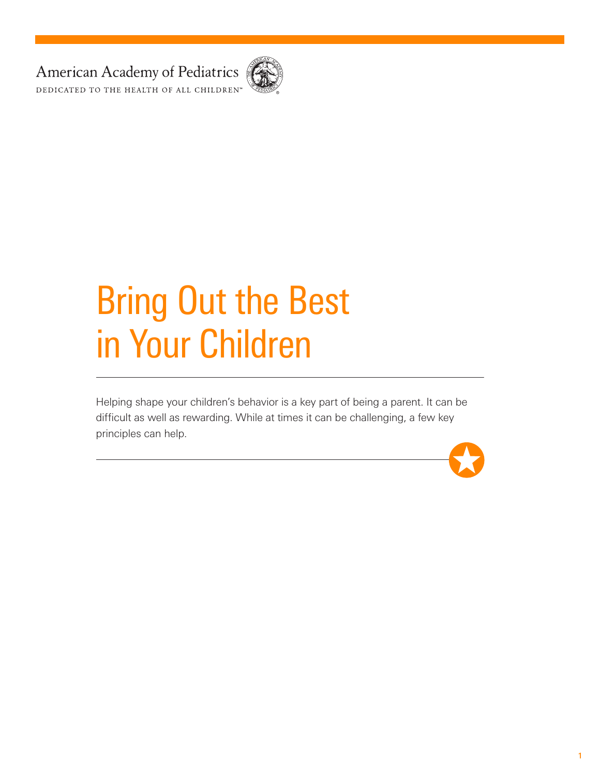American Academy of Pediatrics DEDICATED TO THE HEALTH OF ALL CHILDREN<sup>™</sup>



# Bring Out the Best in Your Children

Helping shape your children's behavior is a key part of being a parent. It can be difficult as well as rewarding. While at times it can be challenging, a few key principles can help.

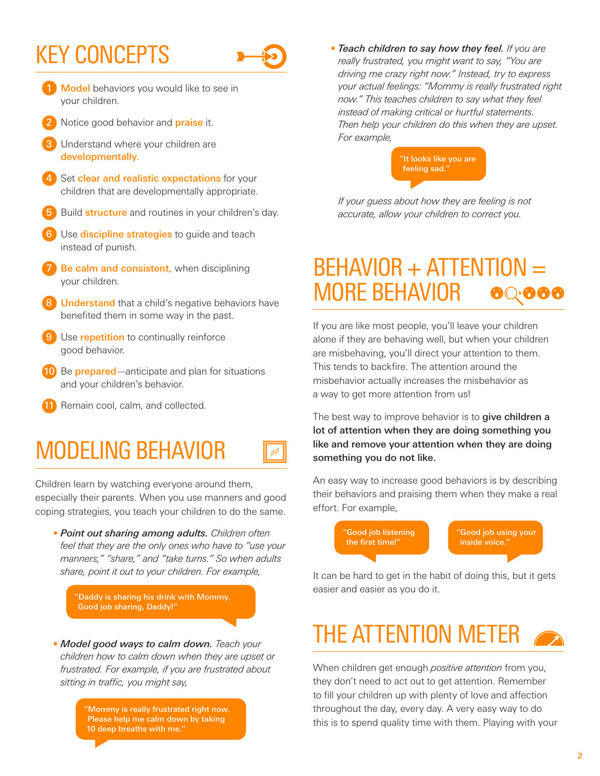#### KEY CONCEPTS



1/1

- 1 Model behaviors you would like to see in your children.
- Notice good behavior and **praise** it.
- Understand where your children are developmentally.
- Set clear and realistic expectations for your children that are developmentally appropriate.
- Build **structure** and routines in your children's day.
- Use **discipline strategies** to guide and teach instead of punish.
- Be calm and consistent, when disciplining your children.
- **Understand** that a child's negative behaviors have benefited them in some way in the past.
- Use **repetition** to continually reinforce good behavior.
- 10 Be prepared—anticipate and plan for situations and your children's behavior.
- 11 Remain cool, calm, and collected.

#### MODELING BEHAVIOR

Children learn by watching everyone around them, especially their parents. When you use manners and good coping strategies, you teach your children to do the same.

*• Point out sharing among adults. Children often feel that they are the only ones who have to "use your manners," "share," and "take turns." So when adults share, point it out to your children. For example,* 

"Daddy is sharing his drink with Mommy. Good job sharing, Daddy!"

*• Model good ways to calm down. Teach your children how to calm down when they are upset or frustrated. For example, if you are frustrated about sitting in traffic, you might say,*

> 'Mommy is really frustrated right now. Please help me calm down by taking 10 deep breaths with me."

*• Teach children to say how they feel. If you are really frustrated, you might want to say, "You are driving me crazy right now." Instead, try to express your actual feelings: "Mommy is really frustrated right now." This teaches children to say what they feel instead of making critical or hurtful statements. Then help your children do this when they are upset. For example,*



*If your guess about how they are feeling is not accurate, allow your children to correct you.*

#### BEHAVIOR + ATTENTION = MORE BEHAVIOR

If you are like most people, you'll leave your children alone if they are behaving well, but when your children are misbehaving, you'll direct your attention to them. This tends to backfire. The attention around the misbehavior actually increases the misbehavior as a way to get more attention from us!

The best way to improve behavior is to give children a lot of attention when they are doing something you like and remove your attention when they are doing something you do not like.

An easy way to increase good behaviors is by describing their behaviors and praising them when they make a real effort. For example,



It can be hard to get in the habit of doing this, but it gets easier and easier as you do it.

## THE ATTENTION METER

When children get enough *positive attention* from you, they don't need to act out to get attention. Remember to fill your children up with plenty of love and affection throughout the day, every day. A very easy way to do this is to spend quality time with them. Playing with your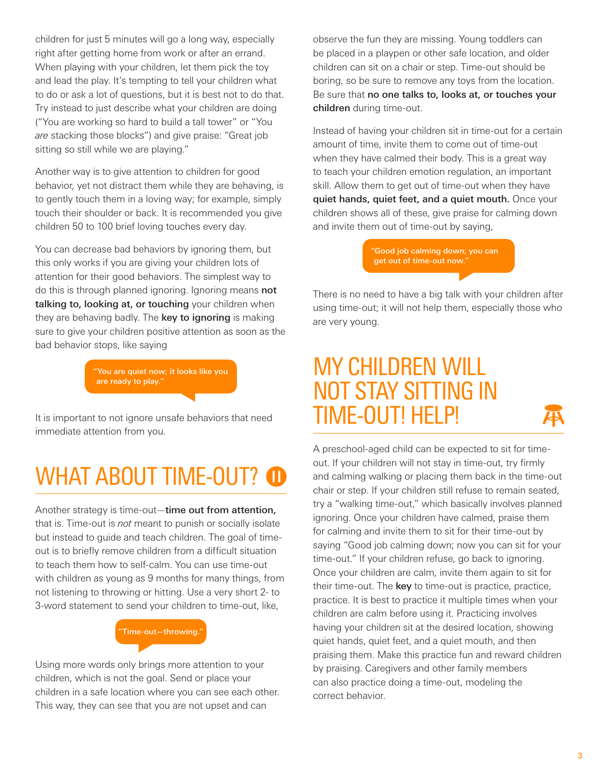children for just 5 minutes will go a long way, especially right after getting home from work or after an errand. When playing with your children, let them pick the toy and lead the play. It's tempting to tell your children what to do or ask a lot of questions, but it is best not to do that. Try instead to just describe what your children are doing ("You are working so hard to build a tall tower" or "You *are* stacking those blocks") and give praise: "Great job sitting so still while we are playing."

Another way is to give attention to children for good behavior, yet not distract them while they are behaving, is to gently touch them in a loving way; for example, simply touch their shoulder or back. It is recommended you give children 50 to 100 brief loving touches every day.

You can decrease bad behaviors by ignoring them, but this only works if you are giving your children lots of attention for their good behaviors. The simplest way to do this is through planned ignoring. Ignoring means not talking to, looking at, or touching your children when they are behaving badly. The key to ignoring is making sure to give your children positive attention as soon as the bad behavior stops, like saying

> "You are quiet now; it looks like you are ready to play."

It is important to not ignore unsafe behaviors that need immediate attention from you.

### WHAT ABOUT TIME-OUT? **O**

Another strategy is time-out—time out from attention, that is. Time-out is *not* meant to punish or socially isolate but instead to guide and teach children. The goal of timeout is to briefly remove children from a difficult situation to teach them how to self-calm. You can use time-out with children as young as 9 months for many things, from not listening to throwing or hitting. Use a very short 2- to 3-word statement to send your children to time-out, like,

#### "Time-out—throwing."

Using more words only brings more attention to your children, which is not the goal. Send or place your children in a safe location where you can see each other. This way, they can see that you are not upset and can

observe the fun they are missing. Young toddlers can be placed in a playpen or other safe location, and older children can sit on a chair or step. Time-out should be boring, so be sure to remove any toys from the location. Be sure that no one talks to, looks at, or touches your children during time-out.

Instead of having your children sit in time-out for a certain amount of time, invite them to come out of time-out when they have calmed their body. This is a great way to teach your children emotion regulation, an important skill. Allow them to get out of time-out when they have quiet hands, quiet feet, and a quiet mouth. Once your children shows all of these, give praise for calming down and invite them out of time-out by saying,

> "Good job calming down; you can get out of time-out now."

There is no need to have a big talk with your children after using time-out; it will not help them, especially those who are very young.

#### MY CHILDREN WILL NOT STAY SITTING IN TIME-OUT! HELP!



A preschool-aged child can be expected to sit for timeout. If your children will not stay in time-out, try firmly and calming walking or placing them back in the time-out chair or step. If your children still refuse to remain seated, try a "walking time-out," which basically involves planned ignoring. Once your children have calmed, praise them for calming and invite them to sit for their time-out by saying "Good job calming down; now you can sit for your time-out." If your children refuse, go back to ignoring. Once your children are calm, invite them again to sit for their time-out. The key to time-out is practice, practice, practice. It is best to practice it multiple times when your children are calm before using it. Practicing involves having your children sit at the desired location, showing quiet hands, quiet feet, and a quiet mouth, and then praising them. Make this practice fun and reward children by praising. Caregivers and other family members can also practice doing a time-out, modeling the correct behavior.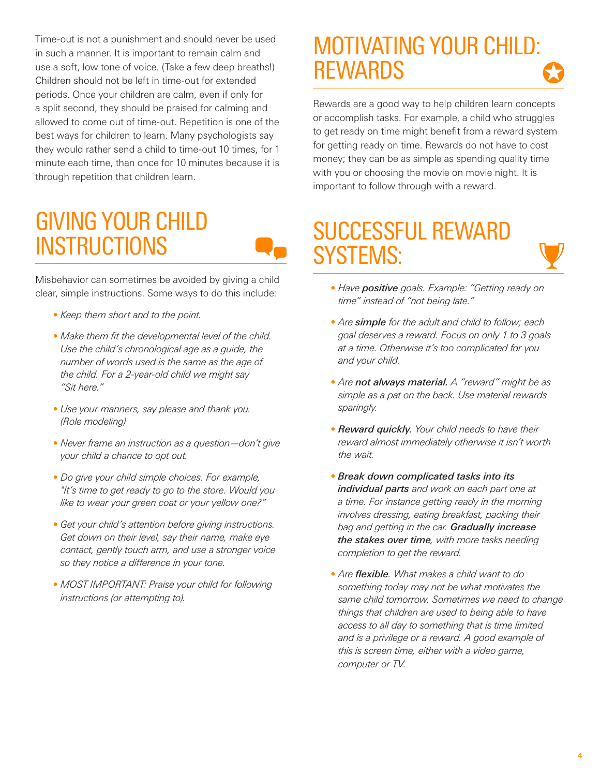Time-out is not a punishment and should never be used in such a manner. It is important to remain calm and use a soft, low tone of voice. (Take a few deep breaths!) Children should not be left in time-out for extended periods. Once your children are calm, even if only for a split second, they should be praised for calming and allowed to come out of time-out. Repetition is one of the best ways for children to learn. Many psychologists say they would rather send a child to time-out 10 times, for 1 minute each time, than once for 10 minutes because it is through repetition that children learn.

#### GIVING YOUR CHILD **INSTRUCTIONS**



Misbehavior can sometimes be avoided by giving a child clear, simple instructions. Some ways to do this include:

- *Keep them short and to the point.*
- *Make them fit the developmental level of the child. Use the child's chronological age as a guide, the number of words used is the same as the age of the child. For a 2-year-old child we might say "Sit here."*
- *Use your manners, say please and thank you. (Role modeling)*
- *Never frame an instruction as a question—don't give your child a chance to opt out.*
- *Do give your child simple choices. For example, "It's time to get ready to go to the store. Would you like to wear your green coat or your yellow one?"*
- *Get your child's attention before giving instructions. Get down on their level, say their name, make eye contact, gently touch arm, and use a stronger voice so they notice a difference in your tone.*
- *MOST IMPORTANT: Praise your child for following instructions (or attempting to).*

#### MOTIVATING YOUR CHILD: REWARDS

Rewards are a good way to help children learn concepts or accomplish tasks. For example, a child who struggles to get ready on time might benefit from a reward system for getting ready on time. Rewards do not have to cost money; they can be as simple as spending quality time with you or choosing the movie on movie night. It is important to follow through with a reward.

#### SUCCESSFUL REWARD SYSTEMS:



- *Have positive goals. Example: "Getting ready on time" instead of "not being late."*
- *Are simple for the adult and child to follow; each goal deserves a reward. Focus on only 1 to 3 goals at a time. Otherwise it's too complicated for you and your child.*
- *Are not always material. A "reward" might be as simple as a pat on the back. Use material rewards sparingly.*
- *Reward quickly. Your child needs to have their reward almost immediately otherwise it isn't worth the wait.*
- *• Break down complicated tasks into its individual parts and work on each part one at a time. For instance getting ready in the morning involves dressing, eating breakfast, packing their bag and getting in the car. Gradually increase the stakes over time, with more tasks needing completion to get the reward.*
- *Are flexible. What makes a child want to do something today may not be what motivates the same child tomorrow. Sometimes we need to change things that children are used to being able to have access to all day to something that is time limited and is a privilege or a reward. A good example of this is screen time, either with a video game, computer or TV.*